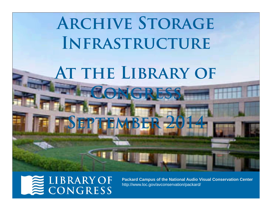

### **LIBRARY OF** CONGRESS

**Packard Campus of the National Audio Visual Conservation Center** http://www.loc.gov/avconservation/packard/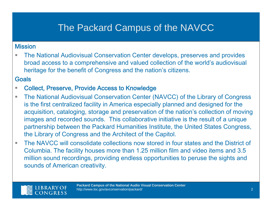# The Packard Campus of the NAVCC

#### Mission

 $\overline{\phantom{a}}$  The National Audiovisual Conservation Center develops, preserves and provides broad access to a comprehensive and valued collection of the world's audiovisual heritage for the benefit of Congress and the nation's citizens.

#### **Goals**

- $\mathcal{L}_{\mathcal{A}}$ Collect, Preserve, Provide Access to Knowledge
- $\mathcal{L}_{\mathcal{A}}$  The National Audiovisual Conservation Center (NAVCC) of the Library of Congress is the first centralized facility in America especially planned and designed for the acquisition, cataloging, storage and preservation of the nation's collection of moving images and recorded sounds. This collaborative initiative is the result of a unique partnership between the Packard Humanities Institute, the United States Congress, the Library of Congress and the Architect of the Capitol.
- $\mathcal{L}_{\mathcal{A}}$  The NAVCC will consolidate collections now stored in four states and the District of Columbia. The facility houses more than 1.25 million film and video items and 3.5 million sound recordings, providing endless opportunities to peruse the sights and sounds of American creativity.

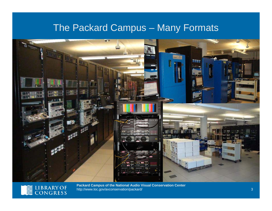### The Packard Campus – Many Formats





E LIBRARY OF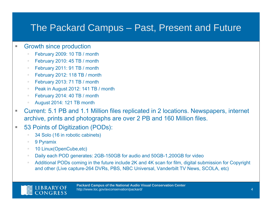### The Packard Campus – Past, Present and Future

#### $\overline{\phantom{a}}$ Growth since production

- February 2009: 10 TB / month
- February 2010: 45 TB / month
- $\mathbb{R}^n$ February 2011: 91 TB / month
- $\mathbb{R}^n$ February 2012: 118 TB / month
- $\mathbb{R}^n$ February 2013: 71 TB / month
- $\mathbb{R}^n$ Peak in August 2012: 141 TB / month
- $\mathcal{C}$ February 2014: 40 TB / month
- August 2014: 121 TB month
- $\overline{\phantom{a}}$  Current: 5.1 PB and 1.1 Million files replicated in 2 locations. Newspapers, internet archive, prints and photographs are over 2 PB and 160 Million files.
- $\overline{\phantom{a}}$  53 Points of Digitization (PODs):
	- 34 Solo (16 in robotic cabinets)
	- $\mathbb{R}^d$ 9 Pyramix
	- 10 Linux(OpenCube,etc)
	- $\mathbb{R}^n$ Daily each POD generates: 2GB-150GB for audio and 50GB-1,200GB for video
	- $\bar{a}$  Additional PODs coming in the future include 2K and 4K scan for film, digital submission for Copyright and other (Live capture-264 DVRs, PBS, NBC Universal, Vanderbilt TV News, SCOLA, etc)

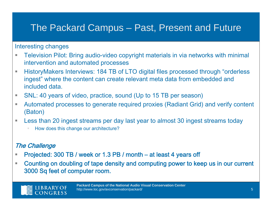### The Packard Campus – Past, Present and Future

#### Interesting changes

- $\mathcal{L}_{\mathcal{A}}$  Television Pilot: Bring audio-video copyright materials in via networks with minimal intervention and automated processes
- $\mathcal{L}_{\mathcal{A}}$  HistoryMakers Interviews: 184 TB of LTO digital files processed through "orderless ingest" where the content can create relevant meta data from embedded and included data.
- $\mathcal{L}_{\mathcal{A}}$ SNL: 40 years of video, practice, sound (Up to 15 TB per season)
- ×. Automated processes to generate required proxies (Radiant Grid) and verify content (Baton)
- $\mathcal{L}_{\mathcal{A}}$  Less than 20 ingest streams per day last year to almost 30 ingest streams today
	- How does this change our architecture?

#### The Challenge

- a. Projected: 300 TB / week or 1.3 PB / month – at least 4 years off
- $\overline{\phantom{a}}$  Counting on doubling of tape density and computing power to keep us in our current 3000 Sq feet of computer room.



**Packard Campus of the National Audio Visual Conservation Center** http://www.loc.gov/avconservation/packard/ 5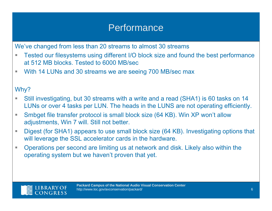### **Performance**

We've changed from less than 20 streams to almost 30 streams

- $\overline{\phantom{a}}$  Tested our filesystems using different I/O block size and found the best performance at 512 MB blocks. Tested to 6000 MB/sec
- $\mathcal{L}_{\mathcal{A}}$ With 14 LUNs and 30 streams we are seeing 700 MB/sec max

### Why?

- H. Still investigating, but 30 streams with a write and a read (SHA1) is 60 tasks on 14 LUNs or over 4 tasks per LUN. The heads in the LUNS are not operating efficiently.
- $\mathcal{L}_{\mathcal{A}}$  Smbget file transfer protocol is small block size (64 KB). Win XP won't allow adjustments, Win 7 will. Still not better.
- $\overline{\phantom{a}}$  Digest (for SHA1) appears to use small block size (64 KB). Investigating options that will leverage the SSL accelerator cards in the hardware.
- $\mathcal{L}_{\mathcal{A}}$  Operations per second are limiting us at network and disk. Likely also within the operating system but we haven't proven that yet.

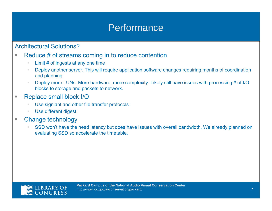### **Performance**

#### Architectural Solutions?

- $\overline{\phantom{a}}$  Reduce # of streams coming in to reduce contention
	- Limit # of ingests at any one time
	- Deploy another server. This will require application software changes requiring months of coordination and planning
	- Deploy more LUNs. More hardware, more complexity. Likely still have issues with processing # of I/O blocks to storage and packets to network.
- ×. Replace small block I/O
	- Use signiant and other file transfer protocols
	- Use different digest
- $\overline{\phantom{a}}$  Change technology
	- SSD won't have the head latency but does have issues with overall bandwidth. We already planned on evaluating SSD so accelerate the timetable.

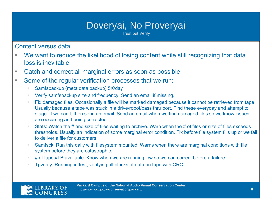# Doveryai, No Proveryai

Trust but Verify

Content versus data

- a. We want to reduce the likelihood of losing content while still recognizing that data loss is inevitable.
- $\mathcal{L}_{\mathcal{A}}$ Catch and correct all marginal errors as soon as possible
- $\mathcal{L}_{\mathcal{A}}$  Some of the regular verification processes that we run:
	- Samfsbackup (meta data backup) 5X/day
	- Verify samfsbackup size and frequency. Send an email if missing.
	- $\bar{a}$  Fix damaged files. Occasionally a file will be marked damaged because it cannot be retrieved from tape. Usually because a tape was stuck in a drive/robot/pass thru port. Find these everyday and attempt to stage. If we can't, then send an email. Send an email when we find damaged files so we know issues are occurring and being corrected
	- Stats: Watch the # and size of files waiting to archive. Warn when the # of files or size of files exceeds thresholds. Usually an indication of some marginal error condition. Fix before file system fills up or we fail to deliver a file for customers.
	- $\mathbb{R}^d$  Samfsck: Run this daily with filesystem mounted. Warns when there are marginal conditions with file system before they are catastrophic.
	- $\bar{a}$ # of tapes/TB available: Know when we are running low so we can correct before a failure
	- Tpverify: Running in test, verifying all blocks of data on tape with CRC.

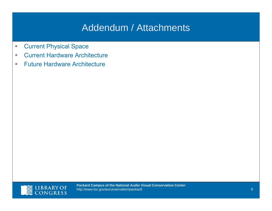# Addendum / Attachments

- U, Current Physical Space
- $\mathcal{L}_{\mathcal{A}}$ **Current Hardware Architecture**
- $\mathcal{L}_{\mathcal{A}}$ Future Hardware Architecture

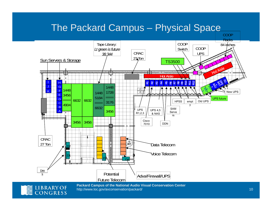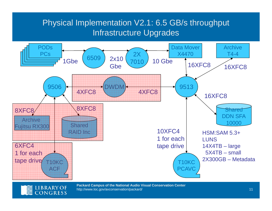### Physical Implementation V2.1: 6.5 GB/s throughput Infrastructure Upgrades



http://www.loc.gov/avconservation/packard/ 11 12 12 12 12 13 14 15 16 17 17 17 17 17 17 17 17 17 18 17 17 17 1

CONGRESS